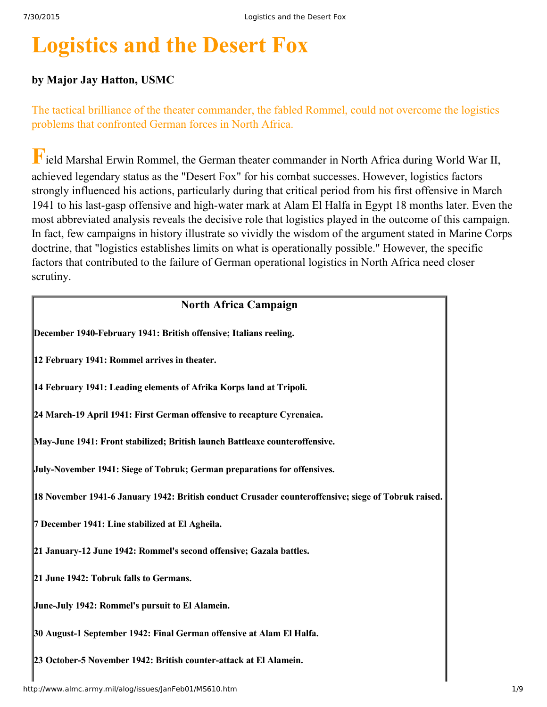# **Logistics and the Desert Fox**

# **by Major Jay Hatton, USMC**

The tactical brilliance of the theater commander, the fabled Rommel, could not overcome the logistics problems that confronted German forces in North Africa.

**F**ield Marshal Erwin Rommel, the German theater commander in North Africa during World War II, achieved legendary status as the "Desert Fox" for his combat successes. However, logistics factors strongly influenced his actions, particularly during that critical period from his first offensive in March 1941 to his last-gasp offensive and high-water mark at Alam El Halfa in Egypt 18 months later. Even the most abbreviated analysis reveals the decisive role that logistics played in the outcome of this campaign. In fact, few campaigns in history illustrate so vividly the wisdom of the argument stated in Marine Corps doctrine, that "logistics establishes limits on what is operationally possible." However, the specific factors that contributed to the failure of German operational logistics in North Africa need closer scrutiny.

### **North Africa Campaign**

**December 1940February 1941: British offensive; Italians reeling.**

**12 February 1941: Rommel arrives in theater.**

**14 February 1941: Leading elements of Afrika Korps land at Tripoli.**

**24 March19 April 1941: First German offensive to recapture Cyrenaica.**

**MayJune 1941: Front stabilized; British launch Battleaxe counteroffensive.**

**July-November 1941: Siege of Tobruk; German preparations for offensives.** 

**18 November 19416 January 1942: British conduct Crusader counteroffensive; siege of Tobruk raised.**

**7 December 1941: Line stabilized at El Agheila.**

**21 January12 June 1942: Rommel's second offensive; Gazala battles.**

**21 June 1942: Tobruk falls to Germans.**

**JuneJuly 1942: Rommel's pursuit to El Alamein.**

**30 August1 September 1942: Final German offensive at Alam El Halfa.**

**23 October5 November 1942: British counterattack at El Alamein.**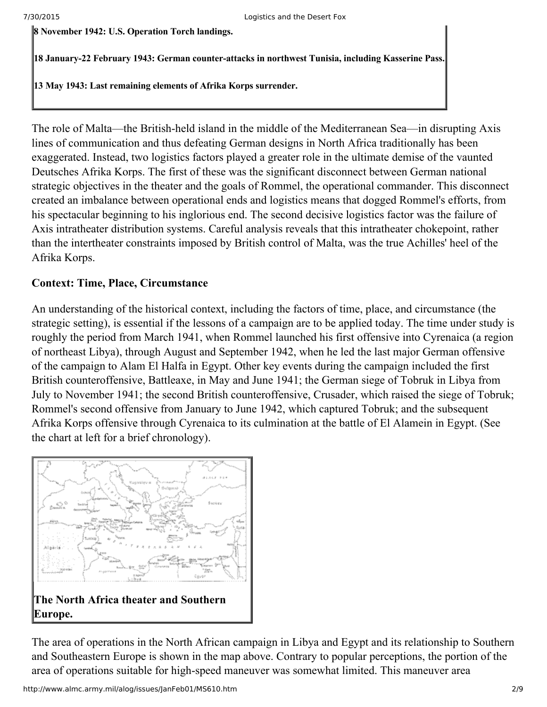**8 November 1942: U.S. Operation Torch landings.**

**18 January22 February 1943: German counterattacks in northwest Tunisia, including Kasserine Pass.**

**13 May 1943: Last remaining elements of Afrika Korps surrender.**

The role of Malta—the British-held island in the middle of the Mediterranean Sea—in disrupting Axis lines of communication and thus defeating German designs in North Africa traditionally has been exaggerated. Instead, two logistics factors played a greater role in the ultimate demise of the vaunted Deutsches Afrika Korps. The first of these was the significant disconnect between German national strategic objectives in the theater and the goals of Rommel, the operational commander. This disconnect created an imbalance between operational ends and logistics means that dogged Rommel's efforts, from his spectacular beginning to his inglorious end. The second decisive logistics factor was the failure of Axis intratheater distribution systems. Careful analysis reveals that this intratheater chokepoint, rather than the intertheater constraints imposed by British control of Malta, was the true Achilles' heel of the Afrika Korps.

# **Context: Time, Place, Circumstance**

An understanding of the historical context, including the factors of time, place, and circumstance (the strategic setting), is essential if the lessons of a campaign are to be applied today. The time under study is roughly the period from March 1941, when Rommel launched his first offensive into Cyrenaica (a region of northeast Libya), through August and September 1942, when he led the last major German offensive of the campaign to Alam El Halfa in Egypt. Other key events during the campaign included the first British counteroffensive, Battleaxe, in May and June 1941; the German siege of Tobruk in Libya from July to November 1941; the second British counteroffensive, Crusader, which raised the siege of Tobruk; Rommel's second offensive from January to June 1942, which captured Tobruk; and the subsequent Afrika Korps offensive through Cyrenaica to its culmination at the battle of El Alamein in Egypt. (See the chart at left for a brief chronology).



The area of operations in the North African campaign in Libya and Egypt and its relationship to Southern and Southeastern Europe is shown in the map above. Contrary to popular perceptions, the portion of the area of operations suitable for high-speed maneuver was somewhat limited. This maneuver area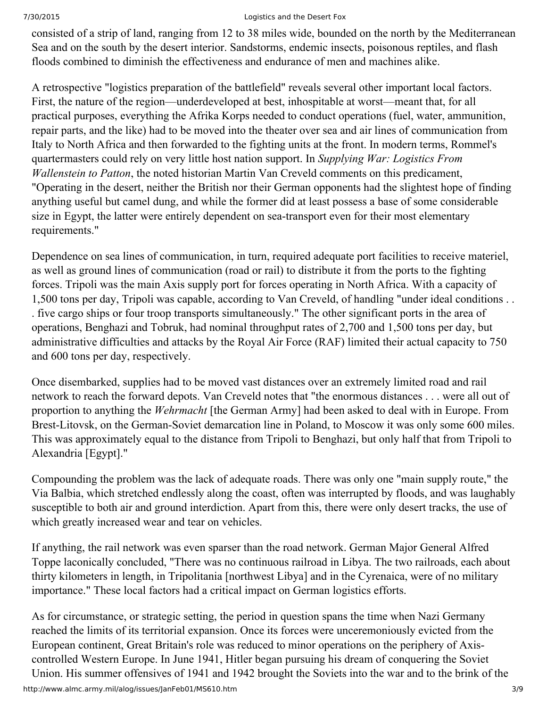consisted of a strip of land, ranging from 12 to 38 miles wide, bounded on the north by the Mediterranean Sea and on the south by the desert interior. Sandstorms, endemic insects, poisonous reptiles, and flash floods combined to diminish the effectiveness and endurance of men and machines alike.

A retrospective "logistics preparation of the battlefield" reveals several other important local factors. First, the nature of the region—underdeveloped at best, inhospitable at worst—meant that, for all practical purposes, everything the Afrika Korps needed to conduct operations (fuel, water, ammunition, repair parts, and the like) had to be moved into the theater over sea and air lines of communication from Italy to North Africa and then forwarded to the fighting units at the front. In modern terms, Rommel's quartermasters could rely on very little host nation support. In *Supplying War: Logistics From Wallenstein to Patton*, the noted historian Martin Van Creveld comments on this predicament, "Operating in the desert, neither the British nor their German opponents had the slightest hope of finding anything useful but camel dung, and while the former did at least possess a base of some considerable size in Egypt, the latter were entirely dependent on sea-transport even for their most elementary requirements."

Dependence on sea lines of communication, in turn, required adequate port facilities to receive materiel, as well as ground lines of communication (road or rail) to distribute it from the ports to the fighting forces. Tripoli was the main Axis supply port for forces operating in North Africa. With a capacity of 1,500 tons per day, Tripoli was capable, according to Van Creveld, of handling "under ideal conditions . . . five cargo ships or four troop transports simultaneously." The other significant ports in the area of operations, Benghazi and Tobruk, had nominal throughput rates of 2,700 and 1,500 tons per day, but administrative difficulties and attacks by the Royal Air Force (RAF) limited their actual capacity to 750 and 600 tons per day, respectively.

Once disembarked, supplies had to be moved vast distances over an extremely limited road and rail network to reach the forward depots. Van Creveld notes that "the enormous distances . . . were all out of proportion to anything the *Wehrmacht* [the German Army] had been asked to deal with in Europe. From Brest-Litovsk, on the German-Soviet demarcation line in Poland, to Moscow it was only some 600 miles. This was approximately equal to the distance from Tripoli to Benghazi, but only half that from Tripoli to Alexandria [Egypt]."

Compounding the problem was the lack of adequate roads. There was only one "main supply route," the Via Balbia, which stretched endlessly along the coast, often was interrupted by floods, and was laughably susceptible to both air and ground interdiction. Apart from this, there were only desert tracks, the use of which greatly increased wear and tear on vehicles.

If anything, the rail network was even sparser than the road network. German Major General Alfred Toppe laconically concluded, "There was no continuous railroad in Libya. The two railroads, each about thirty kilometers in length, in Tripolitania [northwest Libya] and in the Cyrenaica, were of no military importance." These local factors had a critical impact on German logistics efforts.

As for circumstance, or strategic setting, the period in question spans the time when Nazi Germany reached the limits of its territorial expansion. Once its forces were unceremoniously evicted from the European continent, Great Britain's role was reduced to minor operations on the periphery of Axiscontrolled Western Europe. In June 1941, Hitler began pursuing his dream of conquering the Soviet Union. His summer offensives of 1941 and 1942 brought the Soviets into the war and to the brink of the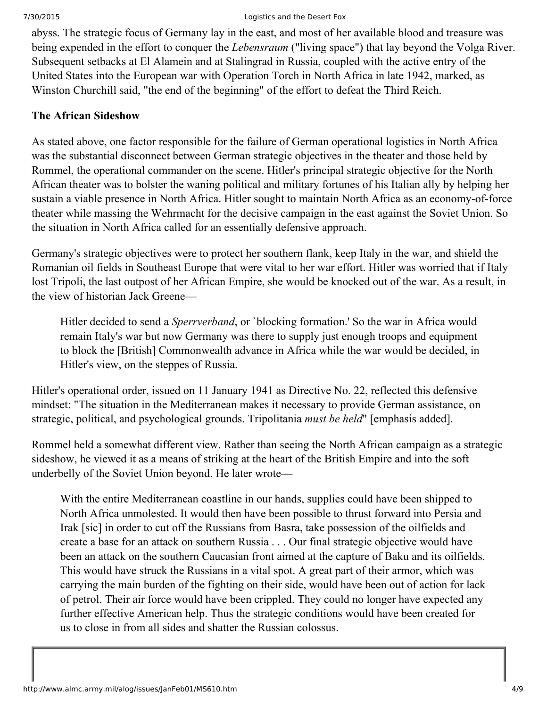abyss. The strategic focus of Germany lay in the east, and most of her available blood and treasure was being expended in the effort to conquer the *Lebensraum* ("living space") that lay beyond the Volga River. Subsequent setbacks at El Alamein and at Stalingrad in Russia, coupled with the active entry of the United States into the European war with Operation Torch in North Africa in late 1942, marked, as Winston Churchill said, "the end of the beginning" of the effort to defeat the Third Reich.

### **The African Sideshow**

As stated above, one factor responsible for the failure of German operational logistics in North Africa was the substantial disconnect between German strategic objectives in the theater and those held by Rommel, the operational commander on the scene. Hitler's principal strategic objective for the North African theater was to bolster the waning political and military fortunes of his Italian ally by helping her sustain a viable presence in North Africa. Hitler sought to maintain North Africa as an economy-of-force theater while massing the Wehrmacht for the decisive campaign in the east against the Soviet Union. So the situation in North Africa called for an essentially defensive approach.

Germany's strategic objectives were to protect her southern flank, keep Italy in the war, and shield the Romanian oil fields in Southeast Europe that were vital to her war effort. Hitler was worried that if Italy lost Tripoli, the last outpost of her African Empire, she would be knocked out of the war. As a result, in the view of historian Jack Greene—

Hitler decided to send a *Sperrverband*, or `blocking formation.' So the war in Africa would remain Italy's war but now Germany was there to supply just enough troops and equipment to block the [British] Commonwealth advance in Africa while the war would be decided, in Hitler's view, on the steppes of Russia.

Hitler's operational order, issued on 11 January 1941 as Directive No. 22, reflected this defensive mindset: "The situation in the Mediterranean makes it necessary to provide German assistance, on strategic, political, and psychological grounds. Tripolitania *must be held*" [emphasis added].

Rommel held a somewhat different view. Rather than seeing the North African campaign as a strategic sideshow, he viewed it as a means of striking at the heart of the British Empire and into the soft underbelly of the Soviet Union beyond. He later wrote—

With the entire Mediterranean coastline in our hands, supplies could have been shipped to North Africa unmolested. It would then have been possible to thrust forward into Persia and Irak [sic] in order to cut off the Russians from Basra, take possession of the oilfields and create a base for an attack on southern Russia . . . Our final strategic objective would have been an attack on the southern Caucasian front aimed at the capture of Baku and its oilfields. This would have struck the Russians in a vital spot. A great part of their armor, which was carrying the main burden of the fighting on their side, would have been out of action for lack of petrol. Their air force would have been crippled. They could no longer have expected any further effective American help. Thus the strategic conditions would have been created for us to close in from all sides and shatter the Russian colossus.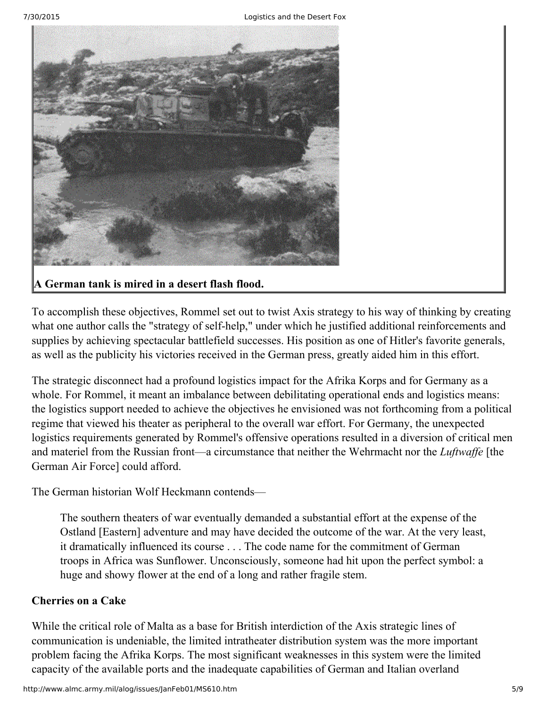

# **A German tank is mired in a desert flash flood.**

To accomplish these objectives, Rommel set out to twist Axis strategy to his way of thinking by creating what one author calls the "strategy of self-help," under which he justified additional reinforcements and supplies by achieving spectacular battlefield successes. His position as one of Hitler's favorite generals, as well as the publicity his victories received in the German press, greatly aided him in this effort.

The strategic disconnect had a profound logistics impact for the Afrika Korps and for Germany as a whole. For Rommel, it meant an imbalance between debilitating operational ends and logistics means: the logistics support needed to achieve the objectives he envisioned was not forthcoming from a political regime that viewed his theater as peripheral to the overall war effort. For Germany, the unexpected logistics requirements generated by Rommel's offensive operations resulted in a diversion of critical men and materiel from the Russian front—a circumstance that neither the Wehrmacht nor the *Luftwaffe* [the German Air Force] could afford.

The German historian Wolf Heckmann contends—

The southern theaters of war eventually demanded a substantial effort at the expense of the Ostland [Eastern] adventure and may have decided the outcome of the war. At the very least, it dramatically influenced its course . . . The code name for the commitment of German troops in Africa was Sunflower. Unconsciously, someone had hit upon the perfect symbol: a huge and showy flower at the end of a long and rather fragile stem.

### **Cherries on a Cake**

While the critical role of Malta as a base for British interdiction of the Axis strategic lines of communication is undeniable, the limited intratheater distribution system was the more important problem facing the Afrika Korps. The most significant weaknesses in this system were the limited capacity of the available ports and the inadequate capabilities of German and Italian overland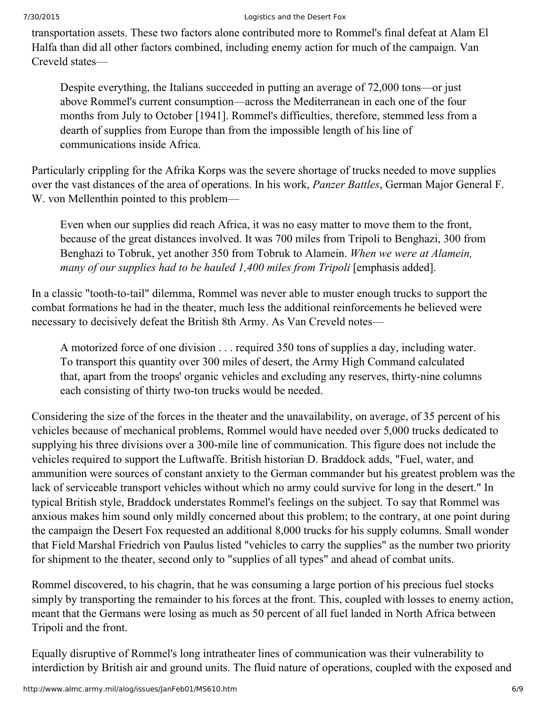transportation assets. These two factors alone contributed more to Rommel's final defeat at Alam El Halfa than did all other factors combined, including enemy action for much of the campaign. Van Creveld states—

Despite everything, the Italians succeeded in putting an average of 72,000 tons—or just above Rommel's current consumption—across the Mediterranean in each one of the four months from July to October [1941]. Rommel's difficulties, therefore, stemmed less from a dearth of supplies from Europe than from the impossible length of his line of communications inside Africa.

Particularly crippling for the Afrika Korps was the severe shortage of trucks needed to move supplies over the vast distances of the area of operations. In his work, *Panzer Battles*, German Major General F. W. von Mellenthin pointed to this problem—

Even when our supplies did reach Africa, it was no easy matter to move them to the front, because of the great distances involved. It was 700 miles from Tripoli to Benghazi, 300 from Benghazi to Tobruk, yet another 350 from Tobruk to Alamein. *When we were at Alamein, many of our supplies had to be hauled 1,400 miles from Tripoli* [emphasis added].

In a classic "tooth-to-tail" dilemma, Rommel was never able to muster enough trucks to support the combat formations he had in the theater, much less the additional reinforcements he believed were necessary to decisively defeat the British 8th Army. As Van Creveld notes—

A motorized force of one division . . . required 350 tons of supplies a day, including water. To transport this quantity over 300 miles of desert, the Army High Command calculated that, apart from the troops' organic vehicles and excluding any reserves, thirty-nine columns each consisting of thirty two-ton trucks would be needed.

Considering the size of the forces in the theater and the unavailability, on average, of 35 percent of his vehicles because of mechanical problems, Rommel would have needed over 5,000 trucks dedicated to supplying his three divisions over a 300-mile line of communication. This figure does not include the vehicles required to support the Luftwaffe. British historian D. Braddock adds, "Fuel, water, and ammunition were sources of constant anxiety to the German commander but his greatest problem was the lack of serviceable transport vehicles without which no army could survive for long in the desert." In typical British style, Braddock understates Rommel's feelings on the subject. To say that Rommel was anxious makes him sound only mildly concerned about this problem; to the contrary, at one point during the campaign the Desert Fox requested an additional 8,000 trucks for his supply columns. Small wonder that Field Marshal Friedrich von Paulus listed "vehicles to carry the supplies" as the number two priority for shipment to the theater, second only to "supplies of all types" and ahead of combat units.

Rommel discovered, to his chagrin, that he was consuming a large portion of his precious fuel stocks simply by transporting the remainder to his forces at the front. This, coupled with losses to enemy action, meant that the Germans were losing as much as 50 percent of all fuel landed in North Africa between Tripoli and the front.

Equally disruptive of Rommel's long intratheater lines of communication was their vulnerability to interdiction by British air and ground units. The fluid nature of operations, coupled with the exposed and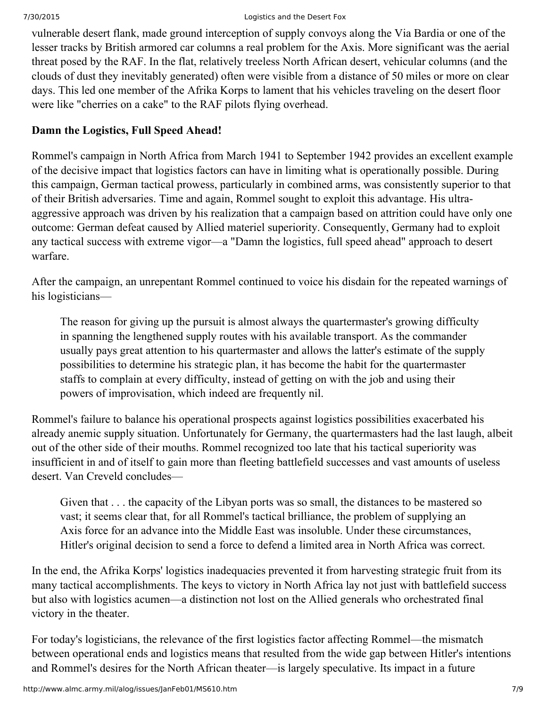vulnerable desert flank, made ground interception of supply convoys along the Via Bardia or one of the lesser tracks by British armored car columns a real problem for the Axis. More significant was the aerial threat posed by the RAF. In the flat, relatively treeless North African desert, vehicular columns (and the clouds of dust they inevitably generated) often were visible from a distance of 50 miles or more on clear days. This led one member of the Afrika Korps to lament that his vehicles traveling on the desert floor were like "cherries on a cake" to the RAF pilots flying overhead.

# **Damn the Logistics, Full Speed Ahead!**

Rommel's campaign in North Africa from March 1941 to September 1942 provides an excellent example of the decisive impact that logistics factors can have in limiting what is operationally possible. During this campaign, German tactical prowess, particularly in combined arms, was consistently superior to that of their British adversaries. Time and again, Rommel sought to exploit this advantage. His ultraaggressive approach was driven by his realization that a campaign based on attrition could have only one outcome: German defeat caused by Allied materiel superiority. Consequently, Germany had to exploit any tactical success with extreme vigor—a "Damn the logistics, full speed ahead" approach to desert warfare.

After the campaign, an unrepentant Rommel continued to voice his disdain for the repeated warnings of his logisticians—

The reason for giving up the pursuit is almost always the quartermaster's growing difficulty in spanning the lengthened supply routes with his available transport. As the commander usually pays great attention to his quartermaster and allows the latter's estimate of the supply possibilities to determine his strategic plan, it has become the habit for the quartermaster staffs to complain at every difficulty, instead of getting on with the job and using their powers of improvisation, which indeed are frequently nil.

Rommel's failure to balance his operational prospects against logistics possibilities exacerbated his already anemic supply situation. Unfortunately for Germany, the quartermasters had the last laugh, albeit out of the other side of their mouths. Rommel recognized too late that his tactical superiority was insufficient in and of itself to gain more than fleeting battlefield successes and vast amounts of useless desert. Van Creveld concludes—

Given that . . . the capacity of the Libyan ports was so small, the distances to be mastered so vast; it seems clear that, for all Rommel's tactical brilliance, the problem of supplying an Axis force for an advance into the Middle East was insoluble. Under these circumstances, Hitler's original decision to send a force to defend a limited area in North Africa was correct.

In the end, the Afrika Korps' logistics inadequacies prevented it from harvesting strategic fruit from its many tactical accomplishments. The keys to victory in North Africa lay not just with battlefield success but also with logistics acumen—a distinction not lost on the Allied generals who orchestrated final victory in the theater.

For today's logisticians, the relevance of the first logistics factor affecting Rommel—the mismatch between operational ends and logistics means that resulted from the wide gap between Hitler's intentions and Rommel's desires for the North African theater—is largely speculative. Its impact in a future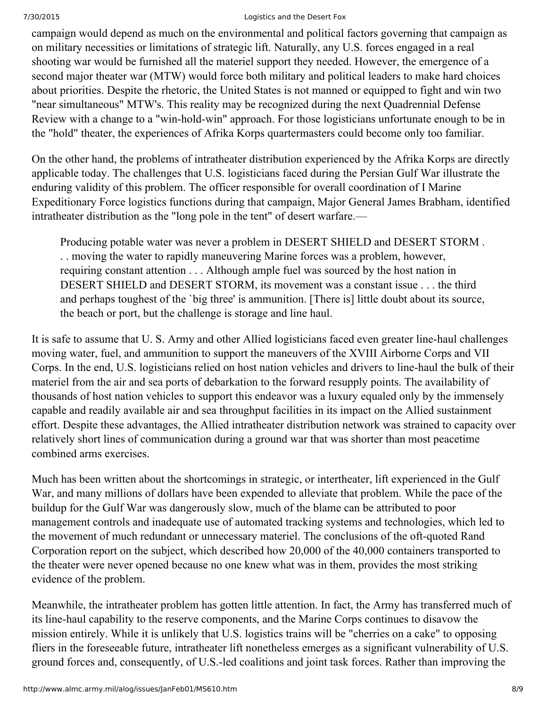campaign would depend as much on the environmental and political factors governing that campaign as on military necessities or limitations of strategic lift. Naturally, any U.S. forces engaged in a real shooting war would be furnished all the materiel support they needed. However, the emergence of a second major theater war (MTW) would force both military and political leaders to make hard choices about priorities. Despite the rhetoric, the United States is not manned or equipped to fight and win two "near simultaneous" MTW's. This reality may be recognized during the next Quadrennial Defense Review with a change to a "win-hold-win" approach. For those logisticians unfortunate enough to be in the "hold" theater, the experiences of Afrika Korps quartermasters could become only too familiar.

On the other hand, the problems of intratheater distribution experienced by the Afrika Korps are directly applicable today. The challenges that U.S. logisticians faced during the Persian Gulf War illustrate the enduring validity of this problem. The officer responsible for overall coordination of I Marine Expeditionary Force logistics functions during that campaign, Major General James Brabham, identified intratheater distribution as the "long pole in the tent" of desert warfare.—

Producing potable water was never a problem in DESERT SHIELD and DESERT STORM . . . moving the water to rapidly maneuvering Marine forces was a problem, however, requiring constant attention . . . Although ample fuel was sourced by the host nation in DESERT SHIELD and DESERT STORM, its movement was a constant issue . . . the third and perhaps toughest of the `big three' is ammunition. [There is] little doubt about its source, the beach or port, but the challenge is storage and line haul.

It is safe to assume that U. S. Army and other Allied logisticians faced even greater linehaul challenges moving water, fuel, and ammunition to support the maneuvers of the XVIII Airborne Corps and VII Corps. In the end, U.S. logisticians relied on host nation vehicles and drivers to linehaul the bulk of their materiel from the air and sea ports of debarkation to the forward resupply points. The availability of thousands of host nation vehicles to support this endeavor was a luxury equaled only by the immensely capable and readily available air and sea throughput facilities in its impact on the Allied sustainment effort. Despite these advantages, the Allied intratheater distribution network was strained to capacity over relatively short lines of communication during a ground war that was shorter than most peacetime combined arms exercises.

Much has been written about the shortcomings in strategic, or intertheater, lift experienced in the Gulf War, and many millions of dollars have been expended to alleviate that problem. While the pace of the buildup for the Gulf War was dangerously slow, much of the blame can be attributed to poor management controls and inadequate use of automated tracking systems and technologies, which led to the movement of much redundant or unnecessary materiel. The conclusions of the oft-quoted Rand Corporation report on the subject, which described how 20,000 of the 40,000 containers transported to the theater were never opened because no one knew what was in them, provides the most striking evidence of the problem.

Meanwhile, the intratheater problem has gotten little attention. In fact, the Army has transferred much of its line-haul capability to the reserve components, and the Marine Corps continues to disavow the mission entirely. While it is unlikely that U.S. logistics trains will be "cherries on a cake" to opposing fliers in the foreseeable future, intratheater lift nonetheless emerges as a significant vulnerability of U.S. ground forces and, consequently, of U.S.-led coalitions and joint task forces. Rather than improving the